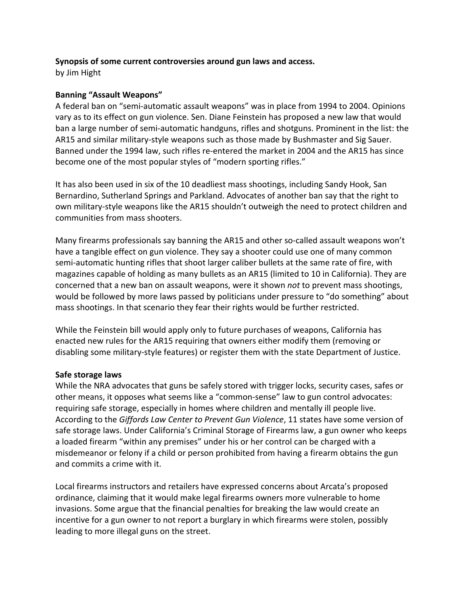### **Synopsis of some current controversies around gun laws and access.**

by Jim Hight 

# **Banning "Assault Weapons"**

A federal ban on "semi-automatic assault weapons" was in place from 1994 to 2004. Opinions vary as to its effect on gun violence. Sen. Diane Feinstein has proposed a new law that would ban a large number of semi-automatic handguns, rifles and shotguns. Prominent in the list: the AR15 and similar military-style weapons such as those made by Bushmaster and Sig Sauer. Banned under the 1994 law, such rifles re-entered the market in 2004 and the AR15 has since become one of the most popular styles of "modern sporting rifles."

It has also been used in six of the 10 deadliest mass shootings, including Sandy Hook, San Bernardino, Sutherland Springs and Parkland. Advocates of another ban say that the right to own military-style weapons like the AR15 shouldn't outweigh the need to protect children and communities from mass shooters.

Many firearms professionals say banning the AR15 and other so-called assault weapons won't have a tangible effect on gun violence. They say a shooter could use one of many common semi-automatic hunting rifles that shoot larger caliber bullets at the same rate of fire, with magazines capable of holding as many bullets as an AR15 (limited to 10 in California). They are concerned that a new ban on assault weapons, were it shown *not* to prevent mass shootings, would be followed by more laws passed by politicians under pressure to "do something" about mass shootings. In that scenario they fear their rights would be further restricted.

While the Feinstein bill would apply only to future purchases of weapons, California has enacted new rules for the AR15 requiring that owners either modify them (removing or disabling some military-style features) or register them with the state Department of Justice.

## **Safe storage laws**

While the NRA advocates that guns be safely stored with trigger locks, security cases, safes or other means, it opposes what seems like a "common-sense" law to gun control advocates: requiring safe storage, especially in homes where children and mentally ill people live. According to the Giffords Law Center to Prevent Gun Violence, 11 states have some version of safe storage laws. Under California's Criminal Storage of Firearms law, a gun owner who keeps a loaded firearm "within any premises" under his or her control can be charged with a misdemeanor or felony if a child or person prohibited from having a firearm obtains the gun and commits a crime with it.

Local firearms instructors and retailers have expressed concerns about Arcata's proposed ordinance, claiming that it would make legal firearms owners more vulnerable to home invasions. Some argue that the financial penalties for breaking the law would create an incentive for a gun owner to not report a burglary in which firearms were stolen, possibly leading to more illegal guns on the street.